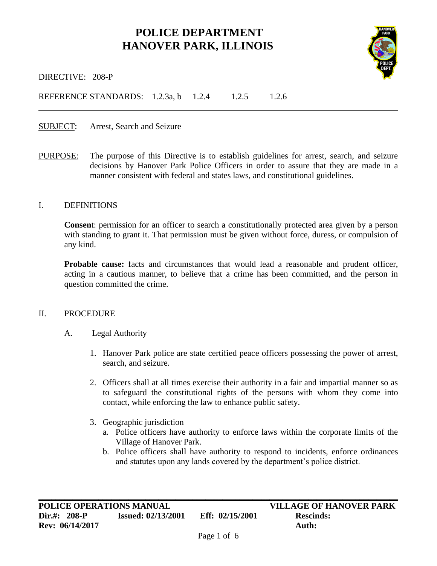# **POLICE DEPARTMENT HANOVER PARK, ILLINOIS**



i<br>L

DIRECTIVE: 208-P

REFERENCE STANDARDS: 1.2.3a, b 1.2.4 1.2.5 1.2.6

SUBJECT: Arrest, Search and Seizure

PURPOSE: The purpose of this Directive is to establish guidelines for arrest, search, and seizure decisions by Hanover Park Police Officers in order to assure that they are made in a manner consistent with federal and states laws, and constitutional guidelines.

#### I. DEFINITIONS

**Consen**t: permission for an officer to search a constitutionally protected area given by a person with standing to grant it. That permission must be given without force, duress, or compulsion of any kind.

Probable cause: facts and circumstances that would lead a reasonable and prudent officer, acting in a cautious manner, to believe that a crime has been committed, and the person in question committed the crime.

#### II. PROCEDURE

- A. Legal Authority
	- 1. Hanover Park police are state certified peace officers possessing the power of arrest, search, and seizure.
	- 2. Officers shall at all times exercise their authority in a fair and impartial manner so as to safeguard the constitutional rights of the persons with whom they come into contact, while enforcing the law to enhance public safety.
	- 3. Geographic jurisdiction
		- a. Police officers have authority to enforce laws within the corporate limits of the Village of Hanover Park.
		- b. Police officers shall have authority to respond to incidents, enforce ordinances and statutes upon any lands covered by the department's police district.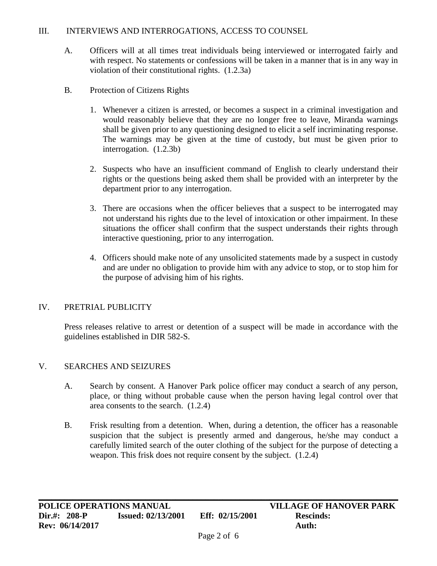## III. INTERVIEWS AND INTERROGATIONS, ACCESS TO COUNSEL

- A. Officers will at all times treat individuals being interviewed or interrogated fairly and with respect. No statements or confessions will be taken in a manner that is in any way in violation of their constitutional rights. (1.2.3a)
- B. Protection of Citizens Rights
	- 1. Whenever a citizen is arrested, or becomes a suspect in a criminal investigation and would reasonably believe that they are no longer free to leave, Miranda warnings shall be given prior to any questioning designed to elicit a self incriminating response. The warnings may be given at the time of custody, but must be given prior to interrogation. (1.2.3b)
	- 2. Suspects who have an insufficient command of English to clearly understand their rights or the questions being asked them shall be provided with an interpreter by the department prior to any interrogation.
	- 3. There are occasions when the officer believes that a suspect to be interrogated may not understand his rights due to the level of intoxication or other impairment. In these situations the officer shall confirm that the suspect understands their rights through interactive questioning, prior to any interrogation.
	- 4. Officers should make note of any unsolicited statements made by a suspect in custody and are under no obligation to provide him with any advice to stop, or to stop him for the purpose of advising him of his rights.

# IV. PRETRIAL PUBLICITY

Press releases relative to arrest or detention of a suspect will be made in accordance with the guidelines established in DIR 582-S.

### V. SEARCHES AND SEIZURES

- A. Search by consent. A Hanover Park police officer may conduct a search of any person, place, or thing without probable cause when the person having legal control over that area consents to the search. (1.2.4)
- B. Frisk resulting from a detention. When, during a detention, the officer has a reasonable suspicion that the subject is presently armed and dangerous, he/she may conduct a carefully limited search of the outer clothing of the subject for the purpose of detecting a weapon. This frisk does not require consent by the subject. (1.2.4)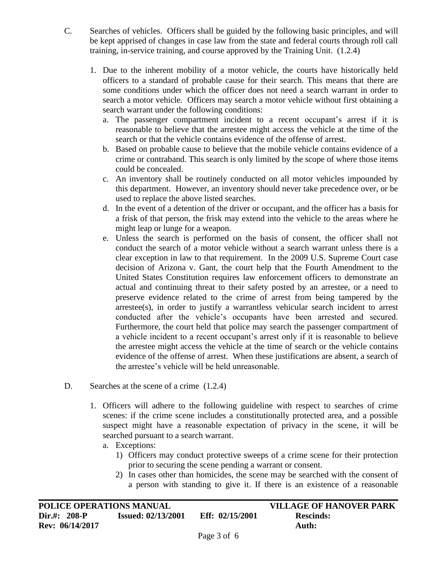- C. Searches of vehicles. Officers shall be guided by the following basic principles, and will be kept apprised of changes in case law from the state and federal courts through roll call training, in-service training, and course approved by the Training Unit. (1.2.4)
	- 1. Due to the inherent mobility of a motor vehicle, the courts have historically held officers to a standard of probable cause for their search. This means that there are some conditions under which the officer does not need a search warrant in order to search a motor vehicle. Officers may search a motor vehicle without first obtaining a search warrant under the following conditions:
		- a. The passenger compartment incident to a recent occupant's arrest if it is reasonable to believe that the arrestee might access the vehicle at the time of the search or that the vehicle contains evidence of the offense of arrest.
		- b. Based on probable cause to believe that the mobile vehicle contains evidence of a crime or contraband. This search is only limited by the scope of where those items could be concealed.
		- c. An inventory shall be routinely conducted on all motor vehicles impounded by this department. However, an inventory should never take precedence over, or be used to replace the above listed searches.
		- d. In the event of a detention of the driver or occupant, and the officer has a basis for a frisk of that person, the frisk may extend into the vehicle to the areas where he might leap or lunge for a weapon.
		- e. Unless the search is performed on the basis of consent, the officer shall not conduct the search of a motor vehicle without a search warrant unless there is a clear exception in law to that requirement. In the 2009 U.S. Supreme Court case decision of Arizona v. Gant, the court help that the Fourth Amendment to the United States Constitution requires law enforcement officers to demonstrate an actual and continuing threat to their safety posted by an arrestee, or a need to preserve evidence related to the crime of arrest from being tampered by the arrestee(s), in order to justify a warrantless vehicular search incident to arrest conducted after the vehicle's occupants have been arrested and secured. Furthermore, the court held that police may search the passenger compartment of a vehicle incident to a recent occupant's arrest only if it is reasonable to believe the arrestee might access the vehicle at the time of search or the vehicle contains evidence of the offense of arrest. When these justifications are absent, a search of the arrestee's vehicle will be held unreasonable.
- D. Searches at the scene of a crime  $(1.2.4)$ 
	- 1. Officers will adhere to the following guideline with respect to searches of crime scenes: if the crime scene includes a constitutionally protected area, and a possible suspect might have a reasonable expectation of privacy in the scene, it will be searched pursuant to a search warrant.
		- a. Exceptions:
			- 1) Officers may conduct protective sweeps of a crime scene for their protection prior to securing the scene pending a warrant or consent.
			- 2) In cases other than homicides, the scene may be searched with the consent of a person with standing to give it. If there is an existence of a reasonable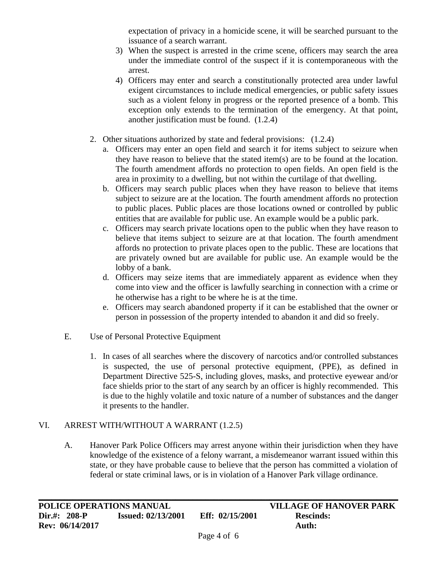expectation of privacy in a homicide scene, it will be searched pursuant to the issuance of a search warrant.

- 3) When the suspect is arrested in the crime scene, officers may search the area under the immediate control of the suspect if it is contemporaneous with the arrest.
- 4) Officers may enter and search a constitutionally protected area under lawful exigent circumstances to include medical emergencies, or public safety issues such as a violent felony in progress or the reported presence of a bomb. This exception only extends to the termination of the emergency. At that point, another justification must be found. (1.2.4)
- 2. Other situations authorized by state and federal provisions: (1.2.4)
	- a. Officers may enter an open field and search it for items subject to seizure when they have reason to believe that the stated item(s) are to be found at the location. The fourth amendment affords no protection to open fields. An open field is the area in proximity to a dwelling, but not within the curtilage of that dwelling.
	- b. Officers may search public places when they have reason to believe that items subject to seizure are at the location. The fourth amendment affords no protection to public places. Public places are those locations owned or controlled by public entities that are available for public use. An example would be a public park.
	- c. Officers may search private locations open to the public when they have reason to believe that items subject to seizure are at that location. The fourth amendment affords no protection to private places open to the public. These are locations that are privately owned but are available for public use. An example would be the lobby of a bank.
	- d. Officers may seize items that are immediately apparent as evidence when they come into view and the officer is lawfully searching in connection with a crime or he otherwise has a right to be where he is at the time.
	- e. Officers may search abandoned property if it can be established that the owner or person in possession of the property intended to abandon it and did so freely.
- E. Use of Personal Protective Equipment
	- 1. In cases of all searches where the discovery of narcotics and/or controlled substances is suspected, the use of personal protective equipment, (PPE), as defined in Department Directive 525-S, including gloves, masks, and protective eyewear and/or face shields prior to the start of any search by an officer is highly recommended. This is due to the highly volatile and toxic nature of a number of substances and the danger it presents to the handler.

# VI. ARREST WITH/WITHOUT A WARRANT (1.2.5)

A. Hanover Park Police Officers may arrest anyone within their jurisdiction when they have knowledge of the existence of a felony warrant, a misdemeanor warrant issued within this state, or they have probable cause to believe that the person has committed a violation of federal or state criminal laws, or is in violation of a Hanover Park village ordinance.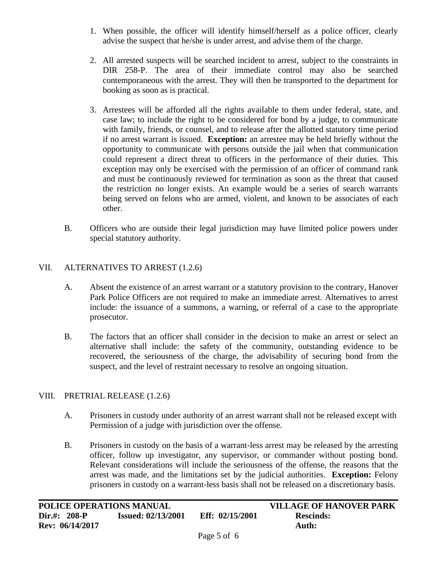- 1. When possible, the officer will identify himself/herself as a police officer, clearly advise the suspect that he/she is under arrest, and advise them of the charge.
- 2. All arrested suspects will be searched incident to arrest, subject to the constraints in DIR 258-P. The area of their immediate control may also be searched contemporaneous with the arrest. They will then be transported to the department for booking as soon as is practical.
- 3. Arrestees will be afforded all the rights available to them under federal, state, and case law; to include the right to be considered for bond by a judge, to communicate with family, friends, or counsel, and to release after the allotted statutory time period if no arrest warrant is issued. **Exception:** an arrestee may be held briefly without the opportunity to communicate with persons outside the jail when that communication could represent a direct threat to officers in the performance of their duties. This exception may only be exercised with the permission of an officer of command rank and must be continuously reviewed for termination as soon as the threat that caused the restriction no longer exists. An example would be a series of search warrants being served on felons who are armed, violent, and known to be associates of each other.
- B. Officers who are outside their legal jurisdiction may have limited police powers under special statutory authority.

# VII. ALTERNATIVES TO ARREST (1.2.6)

- A. Absent the existence of an arrest warrant or a statutory provision to the contrary, Hanover Park Police Officers are not required to make an immediate arrest. Alternatives to arrest include: the issuance of a summons, a warning, or referral of a case to the appropriate prosecutor.
- B. The factors that an officer shall consider in the decision to make an arrest or select an alternative shall include: the safety of the community, outstanding evidence to be recovered, the seriousness of the charge, the advisability of securing bond from the suspect, and the level of restraint necessary to resolve an ongoing situation.

### VIII. PRETRIAL RELEASE (1.2.6)

- A. Prisoners in custody under authority of an arrest warrant shall not be released except with Permission of a judge with jurisdiction over the offense.
- B. Prisoners in custody on the basis of a warrant-less arrest may be released by the arresting officer, follow up investigator, any supervisor, or commander without posting bond. Relevant considerations will include the seriousness of the offense, the reasons that the arrest was made, and the limitations set by the judicial authorities. **Exception:** Felony prisoners in custody on a warrant-less basis shall not be released on a discretionary basis.